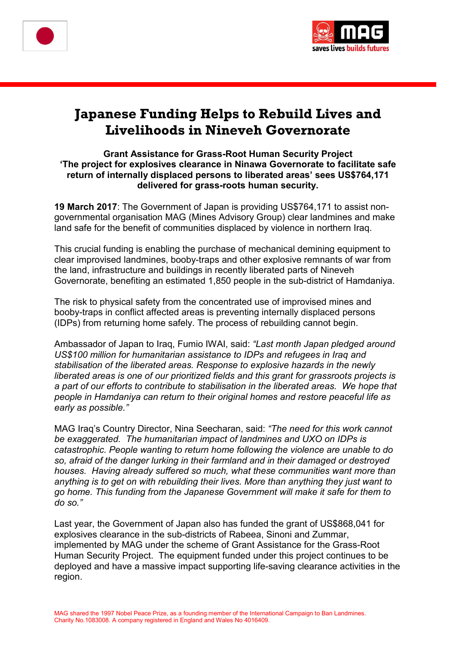



# **Japanese Funding Helps to Rebuild Lives and Livelihoods in Nineveh Governorate**

#### **Grant Assistance for Grass-Root Human Security Project 'The project for explosives clearance in Ninawa Governorate to facilitate safe return of internally displaced persons to liberated areas' sees US\$764,171 delivered for grass-roots human security.**

**19 March 2017**: The Government of Japan is providing US\$764,171 to assist nongovernmental organisation MAG (Mines Advisory Group) clear landmines and make land safe for the benefit of communities displaced by violence in northern Iraq.

This crucial funding is enabling the purchase of mechanical demining equipment to clear improvised landmines, booby-traps and other explosive remnants of war from the land, infrastructure and buildings in recently liberated parts of Nineveh Governorate, benefiting an estimated 1,850 people in the sub-district of Hamdaniya.

The risk to physical safety from the concentrated use of improvised mines and booby-traps in conflict affected areas is preventing internally displaced persons (IDPs) from returning home safely. The process of rebuilding cannot begin.

Ambassador of Japan to Iraq, Fumio IWAI, said: *"Last month Japan pledged around US\$100 million for humanitarian assistance to IDPs and refugees in Iraq and stabilisation of the liberated areas. Response to explosive hazards in the newly liberated areas is one of our prioritized fields and this grant for grassroots projects is a part of our efforts to contribute to stabilisation in the liberated areas. We hope that people in Hamdaniya can return to their original homes and restore peaceful life as early as possible."*

MAG Iraq's Country Director, Nina Seecharan, said: *"The need for this work cannot be exaggerated. The humanitarian impact of landmines and UXO on IDPs is catastrophic. People wanting to return home following the violence are unable to do so, afraid of the danger lurking in their farmland and in their damaged or destroyed houses. Having already suffered so much, what these communities want more than anything is to get on with rebuilding their lives. More than anything they just want to go home. This funding from the Japanese Government will make it safe for them to do so."*

Last year, the Government of Japan also has funded the grant of US\$868,041 for explosives clearance in the sub-districts of Rabeea, Sinoni and Zummar, implemented by MAG under the scheme of Grant Assistance for the Grass-Root Human Security Project. The equipment funded under this project continues to be deployed and have a massive impact supporting life-saving clearance activities in the region.